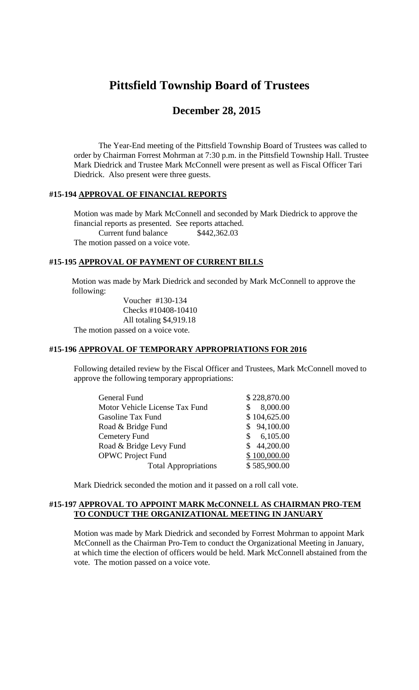# **Pittsfield Township Board of Trustees**

# **December 28, 2015**

The Year-End meeting of the Pittsfield Township Board of Trustees was called to order by Chairman Forrest Mohrman at 7:30 p.m. in the Pittsfield Township Hall. Trustee Mark Diedrick and Trustee Mark McConnell were present as well as Fiscal Officer Tari Diedrick. Also present were three guests.

# **#15-194 APPROVAL OF FINANCIAL REPORTS**

Motion was made by Mark McConnell and seconded by Mark Diedrick to approve the financial reports as presented. See reports attached. Current fund balance \$442,362.03 The motion passed on a voice vote.

#### **#15-195 APPROVAL OF PAYMENT OF CURRENT BILLS**

Motion was made by Mark Diedrick and seconded by Mark McConnell to approve the following:

Voucher #130-134 Checks #10408-10410 All totaling \$4,919.18 The motion passed on a voice vote.

# **#15-196 APPROVAL OF TEMPORARY APPROPRIATIONS FOR 2016**

Following detailed review by the Fiscal Officer and Trustees, Mark McConnell moved to approve the following temporary appropriations:

| <b>General Fund</b>            |     | \$228,870.00 |
|--------------------------------|-----|--------------|
| Motor Vehicle License Tax Fund | S.  | 8,000.00     |
| <b>Gasoline Tax Fund</b>       |     | \$104,625.00 |
| Road & Bridge Fund             |     | \$94,100.00  |
| <b>Cemetery Fund</b>           | \$. | 6,105.00     |
| Road & Bridge Levy Fund        |     | \$44,200.00  |
| <b>OPWC</b> Project Fund       |     | \$100,000.00 |
| <b>Total Appropriations</b>    |     | \$585,900.00 |
|                                |     |              |

Mark Diedrick seconded the motion and it passed on a roll call vote.

## **#15-197 APPROVAL TO APPOINT MARK McCONNELL AS CHAIRMAN PRO-TEM TO CONDUCT THE ORGANIZATIONAL MEETING IN JANUARY**

Motion was made by Mark Diedrick and seconded by Forrest Mohrman to appoint Mark McConnell as the Chairman Pro-Tem to conduct the Organizational Meeting in January, at which time the election of officers would be held. Mark McConnell abstained from the vote. The motion passed on a voice vote.